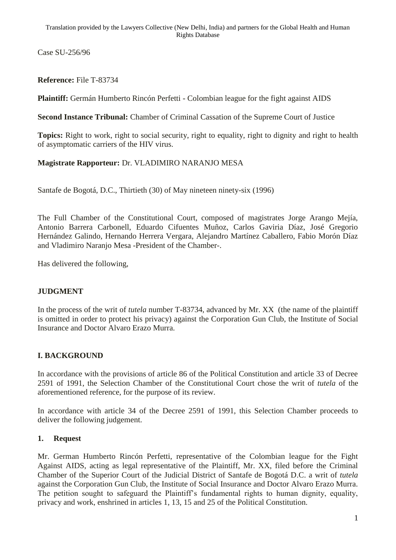Case SU-256/96

**Reference:** File T-83734

**Plaintiff:** Germán Humberto Rincón Perfetti - Colombian league for the fight against AIDS

**Second Instance Tribunal:** Chamber of Criminal Cassation of the Supreme Court of Justice

**Topics:** Right to work, right to social security, right to equality, right to dignity and right to health of asymptomatic carriers of the HIV virus.

### **Magistrate Rapporteur:** Dr. VLADIMIRO NARANJO MESA

Santafe de Bogotá, D.C., Thirtieth (30) of May nineteen ninety-six (1996)

The Full Chamber of the Constitutional Court, composed of magistrates Jorge Arango Mejía, Antonio Barrera Carbonell, Eduardo Cifuentes Muñoz, Carlos Gaviria Díaz, José Gregorio Hernández Galindo, Hernando Herrera Vergara, Alejandro Martínez Caballero, Fabio Morón Díaz and Vladimiro Naranjo Mesa -President of the Chamber-.

Has delivered the following,

#### **JUDGMENT**

In the process of the writ of *tutela* number T-83734, advanced by Mr. XX (the name of the plaintiff is omitted in order to protect his privacy) against the Corporation Gun Club, the Institute of Social Insurance and Doctor Alvaro Erazo Murra.

## **I. BACKGROUND**

In accordance with the provisions of article 86 of the Political Constitution and article 33 of Decree 2591 of 1991, the Selection Chamber of the Constitutional Court chose the writ of *tutela* of the aforementioned reference, for the purpose of its review.

In accordance with article 34 of the Decree 2591 of 1991, this Selection Chamber proceeds to deliver the following judgement.

#### **1. Request**

Mr. German Humberto Rincón Perfetti, representative of the Colombian league for the Fight Against AIDS, acting as legal representative of the Plaintiff, Mr. XX, filed before the Criminal Chamber of the Superior Court of the Judicial District of Santafe de Bogotá D.C. a writ of *tutela* against the Corporation Gun Club, the Institute of Social Insurance and Doctor Alvaro Erazo Murra. The petition sought to safeguard the Plaintiff's fundamental rights to human dignity, equality, privacy and work, enshrined in articles 1, 13, 15 and 25 of the Political Constitution.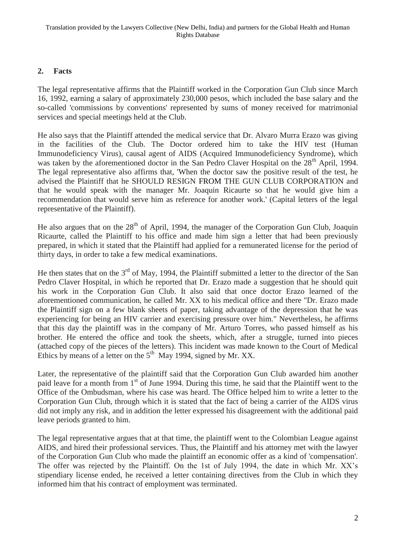### **2. Facts**

The legal representative affirms that the Plaintiff worked in the Corporation Gun Club since March 16, 1992, earning a salary of approximately 230,000 pesos, which included the base salary and the so-called 'commissions by conventions' represented by sums of money received for matrimonial services and special meetings held at the Club.

He also says that the Plaintiff attended the medical service that Dr. Alvaro Murra Erazo was giving in the facilities of the Club. The Doctor ordered him to take the HIV test (Human Immunodeficiency Virus), causal agent of AIDS (Acquired Immunodeficiency Syndrome), which was taken by the aforementioned doctor in the San Pedro Claver Hospital on the 28<sup>th</sup> April, 1994. The legal representative also affirms that, 'When the doctor saw the positive result of the test, he advised the Plaintiff that he SHOULD RESIGN FROM THE GUN CLUB CORPORATION and that he would speak with the manager Mr. Joaquin Ricaurte so that he would give him a recommendation that would serve him as reference for another work.' (Capital letters of the legal representative of the Plaintiff).

He also argues that on the  $28<sup>th</sup>$  of April, 1994, the manager of the Corporation Gun Club, Joaquin Ricaurte, called the Plaintiff to his office and made him sign a letter that had been previously prepared, in which it stated that the Plaintiff had applied for a remunerated license for the period of thirty days, in order to take a few medical examinations.

He then states that on the  $3<sup>rd</sup>$  of May, 1994, the Plaintiff submitted a letter to the director of the San Pedro Claver Hospital, in which he reported that Dr. Erazo made a suggestion that he should quit his work in the Corporation Gun Club. It also said that once doctor Erazo learned of the aforementioned communication, he called Mr. XX to his medical office and there "Dr. Erazo made the Plaintiff sign on a few blank sheets of paper, taking advantage of the depression that he was experiencing for being an HIV carrier and exercising pressure over him." Nevertheless, he affirms that this day the plaintiff was in the company of Mr. Arturo Torres, who passed himself as his brother. He entered the office and took the sheets, which, after a struggle, turned into pieces (attached copy of the pieces of the letters). This incident was made known to the Court of Medical Ethics by means of a letter on the  $5<sup>th</sup>$  May 1994, signed by Mr. XX.

Later, the representative of the plaintiff said that the Corporation Gun Club awarded him another paid leave for a month from 1<sup>st</sup> of June 1994. During this time, he said that the Plaintiff went to the Office of the Ombudsman, where his case was heard. The Office helped him to write a letter to the Corporation Gun Club, through which it is stated that the fact of being a carrier of the AIDS virus did not imply any risk, and in addition the letter expressed his disagreement with the additional paid leave periods granted to him.

The legal representative argues that at that time, the plaintiff went to the Colombian League against AIDS, and hired their professional services. Thus, the Plaintiff and his attorney met with the lawyer of the Corporation Gun Club who made the plaintiff an economic offer as a kind of 'compensation'. The offer was rejected by the Plaintiff. On the 1st of July 1994, the date in which Mr. XX's stipendiary license ended, he received a letter containing directives from the Club in which they informed him that his contract of employment was terminated.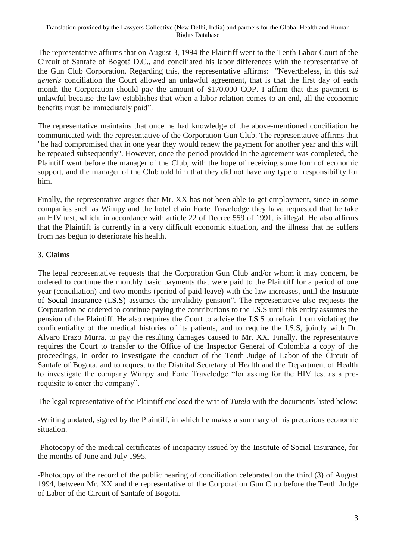The representative affirms that on August 3, 1994 the Plaintiff went to the Tenth Labor Court of the Circuit of Santafe of Bogotá D.C., and conciliated his labor differences with the representative of the Gun Club Corporation. Regarding this, the representative affirms: "Nevertheless, in this *sui generis* conciliation the Court allowed an unlawful agreement, that is that the first day of each month the Corporation should pay the amount of \$170.000 COP. I affirm that this payment is unlawful because the law establishes that when a labor relation comes to an end, all the economic benefits must be immediately paid".

The representative maintains that once he had knowledge of the above-mentioned conciliation he communicated with the representative of the Corporation Gun Club. The representative affirms that "he had compromised that in one year they would renew the payment for another year and this will be repeated subsequently". However, once the period provided in the agreement was completed, the Plaintiff went before the manager of the Club, with the hope of receiving some form of economic support, and the manager of the Club told him that they did not have any type of responsibility for him.

Finally, the representative argues that Mr. XX has not been able to get employment, since in some companies such as Wimpy and the hotel chain Forte Travelodge they have requested that he take an HIV test, which, in accordance with article 22 of Decree 559 of 1991, is illegal. He also affirms that the Plaintiff is currently in a very difficult economic situation, and the illness that he suffers from has begun to deteriorate his health.

## **3. Claims**

The legal representative requests that the Corporation Gun Club and/or whom it may concern, be ordered to continue the monthly basic payments that were paid to the Plaintiff for a period of one year (conciliation) and two months (period of paid leave) with the law increases, until the Institute of Social Insurance (I.S.S) assumes the invalidity pension". The representative also requests the Corporation be ordered to continue paying the contributions to the I.S.S until this entity assumes the pension of the Plaintiff. He also requires the Court to advise the I.S.S to refrain from violating the confidentiality of the medical histories of its patients, and to require the I.S.S, jointly with Dr. Alvaro Erazo Murra, to pay the resulting damages caused to Mr. XX. Finally, the representative requires the Court to transfer to the Office of the Inspector General of Colombia a copy of the proceedings, in order to investigate the conduct of the Tenth Judge of Labor of the Circuit of Santafe of Bogota, and to request to the Distrital Secretary of Health and the Department of Health to investigate the company Wimpy and Forte Travelodge "for asking for the HIV test as a prerequisite to enter the company".

The legal representative of the Plaintiff enclosed the writ of *Tutela* with the documents listed below:

-Writing undated, signed by the Plaintiff, in which he makes a summary of his precarious economic situation.

-Photocopy of the medical certificates of incapacity issued by the Institute of Social Insurance, for the months of June and July 1995.

-Photocopy of the record of the public hearing of conciliation celebrated on the third (3) of August 1994, between Mr. XX and the representative of the Corporation Gun Club before the Tenth Judge of Labor of the Circuit of Santafe of Bogota.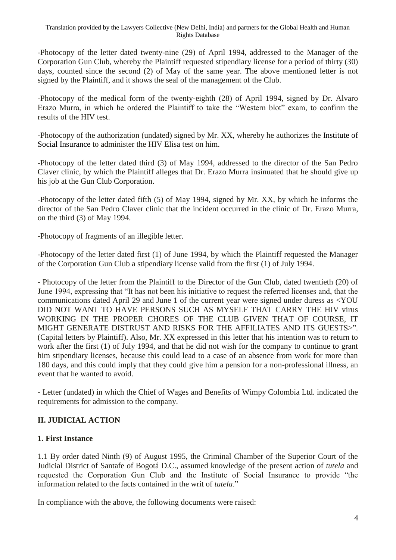-Photocopy of the letter dated twenty-nine (29) of April 1994, addressed to the Manager of the Corporation Gun Club, whereby the Plaintiff requested stipendiary license for a period of thirty (30) days, counted since the second (2) of May of the same year. The above mentioned letter is not signed by the Plaintiff, and it shows the seal of the management of the Club.

-Photocopy of the medical form of the twenty-eighth (28) of April 1994, signed by Dr. Alvaro Erazo Murra, in which he ordered the Plaintiff to take the "Western blot" exam, to confirm the results of the HIV test.

-Photocopy of the authorization (undated) signed by Mr. XX, whereby he authorizes the Institute of Social Insurance to administer the HIV Elisa test on him.

-Photocopy of the letter dated third (3) of May 1994, addressed to the director of the San Pedro Claver clinic, by which the Plaintiff alleges that Dr. Erazo Murra insinuated that he should give up his job at the Gun Club Corporation.

-Photocopy of the letter dated fifth (5) of May 1994, signed by Mr. XX, by which he informs the director of the San Pedro Claver clinic that the incident occurred in the clinic of Dr. Erazo Murra, on the third (3) of May 1994.

-Photocopy of fragments of an illegible letter.

-Photocopy of the letter dated first (1) of June 1994, by which the Plaintiff requested the Manager of the Corporation Gun Club a stipendiary license valid from the first (1) of July 1994.

- Photocopy of the letter from the Plaintiff to the Director of the Gun Club, dated twentieth (20) of June 1994, expressing that "It has not been his initiative to request the referred licenses and, that the communications dated April 29 and June 1 of the current year were signed under duress as <YOU DID NOT WANT TO HAVE PERSONS SUCH AS MYSELF THAT CARRY THE HIV virus WORKING IN THE PROPER CHORES OF THE CLUB GIVEN THAT OF COURSE, IT MIGHT GENERATE DISTRUST AND RISKS FOR THE AFFILIATES AND ITS GUESTS>". (Capital letters by Plaintiff). Also, Mr. XX expressed in this letter that his intention was to return to work after the first (1) of July 1994, and that he did not wish for the company to continue to grant him stipendiary licenses, because this could lead to a case of an absence from work for more than 180 days, and this could imply that they could give him a pension for a non-professional illness, an event that he wanted to avoid.

- Letter (undated) in which the Chief of Wages and Benefits of Wimpy Colombia Ltd. indicated the requirements for admission to the company.

## **II. JUDICIAL ACTION**

## **1. First Instance**

1.1 By order dated Ninth (9) of August 1995, the Criminal Chamber of the Superior Court of the Judicial District of Santafe of Bogotá D.C., assumed knowledge of the present action of *tutela* and requested the Corporation Gun Club and the Institute of Social Insurance to provide "the information related to the facts contained in the writ of *tutela*."

In compliance with the above, the following documents were raised: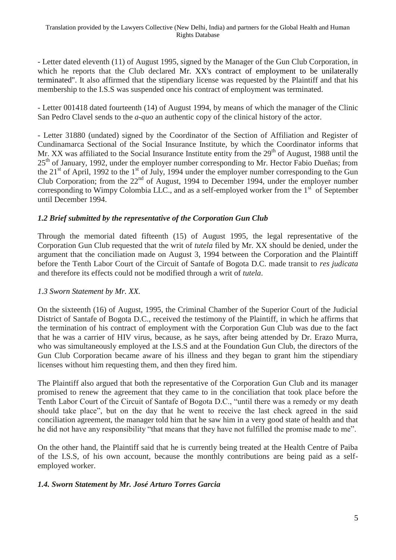- Letter dated eleventh (11) of August 1995, signed by the Manager of the Gun Club Corporation, in which he reports that the Club declared Mr. XX's contract of employment to be unilaterally terminated". It also affirmed that the stipendiary license was requested by the Plaintiff and that his membership to the I.S.S was suspended once his contract of employment was terminated.

- Letter 001418 dated fourteenth (14) of August 1994, by means of which the manager of the Clinic San Pedro Clavel sends to the *a-quo* an authentic copy of the clinical history of the actor.

- Letter 31880 (undated) signed by the Coordinator of the Section of Affiliation and Register of Cundinamarca Sectional of the Social Insurance Institute, by which the Coordinator informs that Mr. XX was affiliated to the Social Insurance Institute entity from the  $29<sup>th</sup>$  of August, 1988 until the 25<sup>th</sup> of January, 1992, under the employer number corresponding to Mr. Hector Fabio Dueñas; from the  $21<sup>st</sup>$  of April, 1992 to the  $1<sup>st</sup>$  of July, 1994 under the employer number corresponding to the Gun Club Corporation; from the  $22<sup>nd</sup>$  of August, 1994 to December 1994, under the employer number corresponding to Wimpy Colombia LLC., and as a self-employed worker from the  $1<sup>sf</sup>$  of September until December 1994.

### *1.2 Brief submitted by the representative of the Corporation Gun Club*

Through the memorial dated fifteenth (15) of August 1995, the legal representative of the Corporation Gun Club requested that the writ of *tutela* filed by Mr. XX should be denied, under the argument that the conciliation made on August 3, 1994 between the Corporation and the Plaintiff before the Tenth Labor Court of the Circuit of Santafe of Bogota D.C. made transit to *res judicata* and therefore its effects could not be modified through a writ of *tutela*.

## *1.3 Sworn Statement by Mr. XX.*

On the sixteenth (16) of August, 1995, the Criminal Chamber of the Superior Court of the Judicial District of Santafe of Bogota D.C., received the testimony of the Plaintiff, in which he affirms that the termination of his contract of employment with the Corporation Gun Club was due to the fact that he was a carrier of HIV virus, because, as he says, after being attended by Dr. Erazo Murra, who was simultaneously employed at the I.S.S and at the Foundation Gun Club, the directors of the Gun Club Corporation became aware of his illness and they began to grant him the stipendiary licenses without him requesting them, and then they fired him.

The Plaintiff also argued that both the representative of the Corporation Gun Club and its manager promised to renew the agreement that they came to in the conciliation that took place before the Tenth Labor Court of the Circuit of Santafe of Bogota D.C., "until there was a remedy or my death should take place", but on the day that he went to receive the last check agreed in the said conciliation agreement, the manager told him that he saw him in a very good state of health and that he did not have any responsibility "that means that they have not fulfilled the promise made to me".

On the other hand, the Plaintiff said that he is currently being treated at the Health Centre of Paiba of the I.S.S, of his own account, because the monthly contributions are being paid as a selfemployed worker.

#### *1.4. Sworn Statement by Mr. José Arturo Torres Garcia*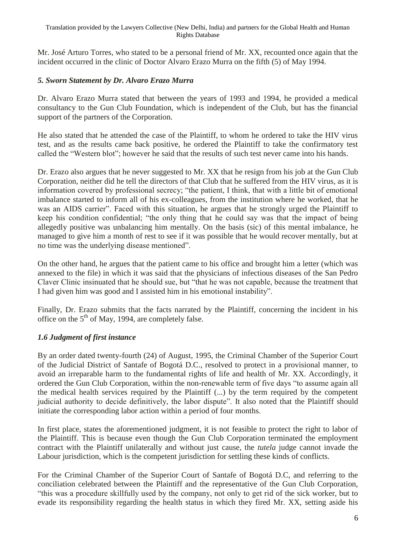Mr. José Arturo Torres, who stated to be a personal friend of Mr. XX, recounted once again that the incident occurred in the clinic of Doctor Alvaro Erazo Murra on the fifth (5) of May 1994.

## *5. Sworn Statement by Dr. Alvaro Erazo Murra*

Dr. Alvaro Erazo Murra stated that between the years of 1993 and 1994, he provided a medical consultancy to the Gun Club Foundation, which is independent of the Club, but has the financial support of the partners of the Corporation.

He also stated that he attended the case of the Plaintiff, to whom he ordered to take the HIV virus test, and as the results came back positive, he ordered the Plaintiff to take the confirmatory test called the "Western blot"; however he said that the results of such test never came into his hands.

Dr. Erazo also argues that he never suggested to Mr. XX that he resign from his job at the Gun Club Corporation, neither did he tell the directors of that Club that he suffered from the HIV virus, as it is information covered by professional secrecy; "the patient, I think, that with a little bit of emotional imbalance started to inform all of his ex-colleagues, from the institution where he worked, that he was an AIDS carrier". Faced with this situation, he argues that he strongly urged the Plaintiff to keep his condition confidential; "the only thing that he could say was that the impact of being allegedly positive was unbalancing him mentally. On the basis (sic) of this mental imbalance, he managed to give him a month of rest to see if it was possible that he would recover mentally, but at no time was the underlying disease mentioned".

On the other hand, he argues that the patient came to his office and brought him a letter (which was annexed to the file) in which it was said that the physicians of infectious diseases of the San Pedro Claver Clinic insinuated that he should sue, but "that he was not capable, because the treatment that I had given him was good and I assisted him in his emotional instability".

Finally, Dr. Erazo submits that the facts narrated by the Plaintiff, concerning the incident in his office on the  $5<sup>th</sup>$  of May, 1994, are completely false.

## *1.6 Judgment of first instance*

By an order dated twenty-fourth (24) of August, 1995, the Criminal Chamber of the Superior Court of the Judicial District of Santafe of Bogotá D.C., resolved to protect in a provisional manner, to avoid an irreparable harm to the fundamental rights of life and health of Mr. XX. Accordingly, it ordered the Gun Club Corporation, within the non-renewable term of five days "to assume again all the medical health services required by the Plaintiff (...) by the term required by the competent judicial authority to decide definitively, the labor dispute". It also noted that the Plaintiff should initiate the corresponding labor action within a period of four months.

In first place, states the aforementioned judgment, it is not feasible to protect the right to labor of the Plaintiff. This is because even though the Gun Club Corporation terminated the employment contract with the Plaintiff unilaterally and without just cause, the *tutela* judge cannot invade the Labour jurisdiction, which is the competent jurisdiction for settling these kinds of conflicts.

For the Criminal Chamber of the Superior Court of Santafe of Bogotá D.C, and referring to the conciliation celebrated between the Plaintiff and the representative of the Gun Club Corporation, "this was a procedure skillfully used by the company, not only to get rid of the sick worker, but to evade its responsibility regarding the health status in which they fired Mr. XX, setting aside his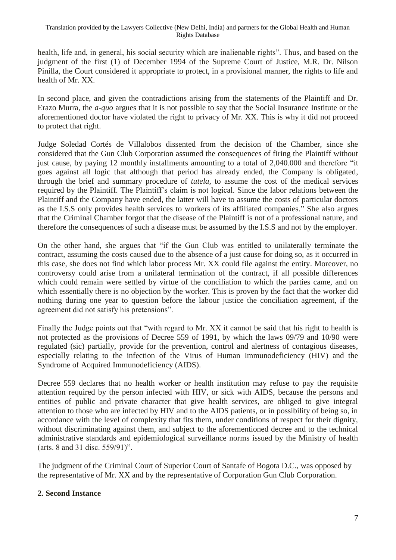health, life and, in general, his social security which are inalienable rights". Thus, and based on the judgment of the first (1) of December 1994 of the Supreme Court of Justice, M.R. Dr. Nilson Pinilla, the Court considered it appropriate to protect, in a provisional manner, the rights to life and health of Mr. XX.

In second place, and given the contradictions arising from the statements of the Plaintiff and Dr. Erazo Murra, the *a-quo* argues that it is not possible to say that the Social Insurance Institute or the aforementioned doctor have violated the right to privacy of Mr. XX. This is why it did not proceed to protect that right.

Judge Soledad Cortés de Villalobos dissented from the decision of the Chamber, since she considered that the Gun Club Corporation assumed the consequences of firing the Plaintiff without just cause, by paying 12 monthly installments amounting to a total of 2,040.000 and therefore "it goes against all logic that although that period has already ended, the Company is obligated, through the brief and summary procedure of *tutela,* to assume the cost of the medical services required by the Plaintiff. The Plaintiff's claim is not logical. Since the labor relations between the Plaintiff and the Company have ended, the latter will have to assume the costs of particular doctors as the I.S.S only provides health services to workers of its affiliated companies." She also argues that the Criminal Chamber forgot that the disease of the Plaintiff is not of a professional nature, and therefore the consequences of such a disease must be assumed by the I.S.S and not by the employer.

On the other hand, she argues that "if the Gun Club was entitled to unilaterally terminate the contract, assuming the costs caused due to the absence of a just cause for doing so, as it occurred in this case, she does not find which labor process Mr. XX could file against the entity. Moreover, no controversy could arise from a unilateral termination of the contract, if all possible differences which could remain were settled by virtue of the conciliation to which the parties came, and on which essentially there is no objection by the worker. This is proven by the fact that the worker did nothing during one year to question before the labour justice the conciliation agreement, if the agreement did not satisfy his pretensions".

Finally the Judge points out that "with regard to Mr. XX it cannot be said that his right to health is not protected as the provisions of Decree 559 of 1991, by which the laws 09/79 and 10/90 were regulated (sic) partially, provide for the prevention, control and alertness of contagious diseases, especially relating to the infection of the Virus of Human Immunodeficiency (HIV) and the Syndrome of Acquired Immunodeficiency (AIDS).

Decree 559 declares that no health worker or health institution may refuse to pay the requisite attention required by the person infected with HIV, or sick with AIDS, because the persons and entities of public and private character that give health services, are obliged to give integral attention to those who are infected by HIV and to the AIDS patients, or in possibility of being so, in accordance with the level of complexity that fits them, under conditions of respect for their dignity, without discriminating against them, and subject to the aforementioned decree and to the technical administrative standards and epidemiological surveillance norms issued by the Ministry of health (arts. 8 and 31 disc. 559/91)".

The judgment of the Criminal Court of Superior Court of Santafe of Bogota D.C., was opposed by the representative of Mr. XX and by the representative of Corporation Gun Club Corporation.

#### **2. Second Instance**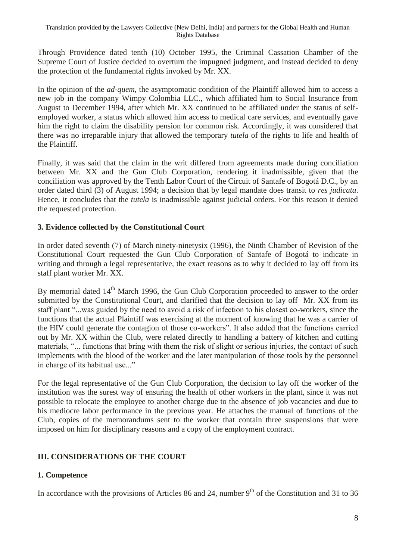Through Providence dated tenth (10) October 1995, the Criminal Cassation Chamber of the Supreme Court of Justice decided to overturn the impugned judgment, and instead decided to deny the protection of the fundamental rights invoked by Mr. XX.

In the opinion of the *ad-quem*, the asymptomatic condition of the Plaintiff allowed him to access a new job in the company Wimpy Colombia LLC., which affiliated him to Social Insurance from August to December 1994, after which Mr. XX continued to be affiliated under the status of selfemployed worker, a status which allowed him access to medical care services, and eventually gave him the right to claim the disability pension for common risk. Accordingly, it was considered that there was no irreparable injury that allowed the temporary *tutela* of the rights to life and health of the Plaintiff.

Finally, it was said that the claim in the writ differed from agreements made during conciliation between Mr. XX and the Gun Club Corporation, rendering it inadmissible, given that the conciliation was approved by the Tenth Labor Court of the Circuit of Santafe of Bogotá D.C., by an order dated third (3) of August 1994; a decision that by legal mandate does transit to *res judicata*. Hence, it concludes that the *tutela* is inadmissible against judicial orders. For this reason it denied the requested protection.

### **3. Evidence collected by the Constitutional Court**

In order dated seventh (7) of March ninety-ninetysix (1996), the Ninth Chamber of Revision of the Constitutional Court requested the Gun Club Corporation of Santafe of Bogotá to indicate in writing and through a legal representative, the exact reasons as to why it decided to lay off from its staff plant worker Mr. XX.

By memorial dated 14<sup>th</sup> March 1996, the Gun Club Corporation proceeded to answer to the order submitted by the Constitutional Court, and clarified that the decision to lay off Mr. XX from its staff plant "...was guided by the need to avoid a risk of infection to his closest co-workers, since the functions that the actual Plaintiff was exercising at the moment of knowing that he was a carrier of the HIV could generate the contagion of those co-workers". It also added that the functions carried out by Mr. XX within the Club, were related directly to handling a battery of kitchen and cutting materials, "... functions that bring with them the risk of slight or serious injuries, the contact of such implements with the blood of the worker and the later manipulation of those tools by the personnel in charge of its habitual use..."

For the legal representative of the Gun Club Corporation, the decision to lay off the worker of the institution was the surest way of ensuring the health of other workers in the plant, since it was not possible to relocate the employee to another charge due to the absence of job vacancies and due to his mediocre labor performance in the previous year. He attaches the manual of functions of the Club, copies of the memorandums sent to the worker that contain three suspensions that were imposed on him for disciplinary reasons and a copy of the employment contract.

## **III. CONSIDERATIONS OF THE COURT**

## **1. Competence**

In accordance with the provisions of Articles 86 and 24, number  $9<sup>th</sup>$  of the Constitution and 31 to 36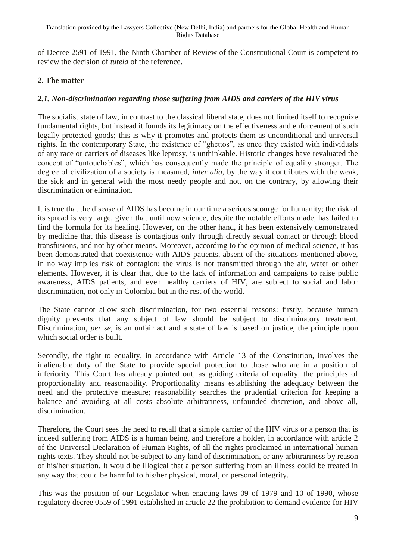of Decree 2591 of 1991, the Ninth Chamber of Review of the Constitutional Court is competent to review the decision of *tutela* of the reference.

## **2. The matter**

### *2.1. Non-discrimination regarding those suffering from AIDS and carriers of the HIV virus*

The socialist state of law, in contrast to the classical liberal state, does not limited itself to recognize fundamental rights, but instead it founds its legitimacy on the effectiveness and enforcement of such legally protected goods; this is why it promotes and protects them as unconditional and universal rights. In the contemporary State, the existence of "ghettos", as once they existed with individuals of any race or carriers of diseases like leprosy, is unthinkable. Historic changes have revaluated the concept of "untouchables", which has consequently made the principle of equality stronger. The degree of civilization of a society is measured, *inter alia*, by the way it contributes with the weak, the sick and in general with the most needy people and not, on the contrary, by allowing their discrimination or elimination.

It is true that the disease of AIDS has become in our time a serious scourge for humanity; the risk of its spread is very large, given that until now science, despite the notable efforts made, has failed to find the formula for its healing. However, on the other hand, it has been extensively demonstrated by medicine that this disease is contagious only through directly sexual contact or through blood transfusions, and not by other means. Moreover, according to the opinion of medical science, it has been demonstrated that coexistence with AIDS patients, absent of the situations mentioned above, in no way implies risk of contagion; the virus is not transmitted through the air, water or other elements. However, it is clear that, due to the lack of information and campaigns to raise public awareness, AIDS patients, and even healthy carriers of HIV, are subject to social and labor discrimination, not only in Colombia but in the rest of the world.

The State cannot allow such discrimination, for two essential reasons: firstly, because human dignity prevents that any subject of law should be subject to discriminatory treatment. Discrimination, *per se*, is an unfair act and a state of law is based on justice, the principle upon which social order is built.

Secondly, the right to equality, in accordance with Article 13 of the Constitution, involves the inalienable duty of the State to provide special protection to those who are in a position of inferiority. This Court has already pointed out, as guiding criteria of equality, the principles of proportionality and reasonability. Proportionality means establishing the adequacy between the need and the protective measure; reasonability searches the prudential criterion for keeping a balance and avoiding at all costs absolute arbitrariness, unfounded discretion, and above all, discrimination.

Therefore, the Court sees the need to recall that a simple carrier of the HIV virus or a person that is indeed suffering from AIDS is a human being, and therefore a holder, in accordance with article 2 of the Universal Declaration of Human Rights, of all the rights proclaimed in international human rights texts. They should not be subject to any kind of discrimination, or any arbitrariness by reason of his/her situation. It would be illogical that a person suffering from an illness could be treated in any way that could be harmful to his/her physical, moral, or personal integrity.

This was the position of our Legislator when enacting laws 09 of 1979 and 10 of 1990, whose regulatory decree 0559 of 1991 established in article 22 the prohibition to demand evidence for HIV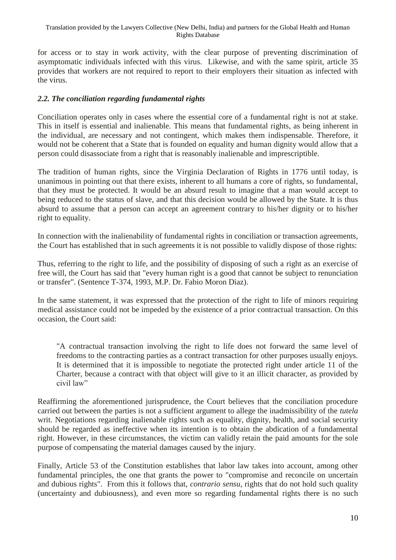for access or to stay in work activity, with the clear purpose of preventing discrimination of asymptomatic individuals infected with this virus. Likewise, and with the same spirit, article 35 provides that workers are not required to report to their employers their situation as infected with the virus.

### *2.2. The conciliation regarding fundamental rights*

Conciliation operates only in cases where the essential core of a fundamental right is not at stake. This in itself is essential and inalienable. This means that fundamental rights, as being inherent in the individual, are necessary and not contingent, which makes them indispensable. Therefore, it would not be coherent that a State that is founded on equality and human dignity would allow that a person could disassociate from a right that is reasonably inalienable and imprescriptible.

The tradition of human rights, since the Virginia Declaration of Rights in 1776 until today, is unanimous in pointing out that there exists, inherent to all humans a core of rights, so fundamental, that they must be protected. It would be an absurd result to imagine that a man would accept to being reduced to the status of slave, and that this decision would be allowed by the State. It is thus absurd to assume that a person can accept an agreement contrary to his/her dignity or to his/her right to equality.

In connection with the inalienability of fundamental rights in conciliation or transaction agreements, the Court has established that in such agreements it is not possible to validly dispose of those rights:

Thus, referring to the right to life, and the possibility of disposing of such a right as an exercise of free will, the Court has said that "every human right is a good that cannot be subject to renunciation or transfer". (Sentence T-374, 1993, M.P. Dr. Fabio Moron Diaz).

In the same statement, it was expressed that the protection of the right to life of minors requiring medical assistance could not be impeded by the existence of a prior contractual transaction. On this occasion, the Court said:

"A contractual transaction involving the right to life does not forward the same level of freedoms to the contracting parties as a contract transaction for other purposes usually enjoys. It is determined that it is impossible to negotiate the protected right under article 11 of the Charter, because a contract with that object will give to it an illicit character, as provided by civil law"

Reaffirming the aforementioned jurisprudence, the Court believes that the conciliation procedure carried out between the parties is not a sufficient argument to allege the inadmissibility of the *tutela* writ. Negotiations regarding inalienable rights such as equality, dignity, health, and social security should be regarded as ineffective when its intention is to obtain the abdication of a fundamental right. However, in these circumstances, the victim can validly retain the paid amounts for the sole purpose of compensating the material damages caused by the injury.

Finally, Article 53 of the Constitution establishes that labor law takes into account, among other fundamental principles, the one that grants the power to "compromise and reconcile on uncertain and dubious rights". From this it follows that, *contrario sensu*, rights that do not hold such quality (uncertainty and dubiousness), and even more so regarding fundamental rights there is no such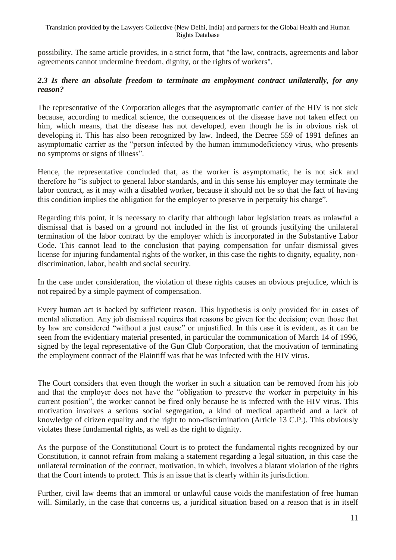#### Translation provided by the Lawyers Collective (New Delhi, India) and partners for the Global Health and Human Rights Database

possibility. The same article provides, in a strict form, that "the law, contracts, agreements and labor agreements cannot undermine freedom, dignity, or the rights of workers".

#### *2.3 Is there an absolute freedom to terminate an employment contract unilaterally, for any reason?*

The representative of the Corporation alleges that the asymptomatic carrier of the HIV is not sick because, according to medical science, the consequences of the disease have not taken effect on him, which means, that the disease has not developed, even though he is in obvious risk of developing it. This has also been recognized by law. Indeed, the Decree 559 of 1991 defines an asymptomatic carrier as the "person infected by the human immunodeficiency virus, who presents no symptoms or signs of illness".

Hence, the representative concluded that, as the worker is asymptomatic, he is not sick and therefore he "is subject to general labor standards, and in this sense his employer may terminate the labor contract, as it may with a disabled worker, because it should not be so that the fact of having this condition implies the obligation for the employer to preserve in perpetuity his charge".

Regarding this point, it is necessary to clarify that although labor legislation treats as unlawful a dismissal that is based on a ground not included in the list of grounds justifying the unilateral termination of the labor contract by the employer which is incorporated in the Substantive Labor Code. This cannot lead to the conclusion that paying compensation for unfair dismissal gives license for injuring fundamental rights of the worker, in this case the rights to dignity, equality, nondiscrimination, labor, health and social security.

In the case under consideration, the violation of these rights causes an obvious prejudice, which is not repaired by a simple payment of compensation.

Every human act is backed by sufficient reason. This hypothesis is only provided for in cases of mental alienation. Any job dismissal requires that reasons be given for the decision; even those that by law are considered "without a just cause" or unjustified. In this case it is evident, as it can be seen from the evidentiary material presented, in particular the communication of March 14 of 1996, signed by the legal representative of the Gun Club Corporation, that the motivation of terminating the employment contract of the Plaintiff was that he was infected with the HIV virus.

The Court considers that even though the worker in such a situation can be removed from his job and that the employer does not have the "obligation to preserve the worker in perpetuity in his current position", the worker cannot be fired only because he is infected with the HIV virus. This motivation involves a serious social segregation, a kind of medical apartheid and a lack of knowledge of citizen equality and the right to non-discrimination (Article 13 C.P.). This obviously violates these fundamental rights, as well as the right to dignity.

As the purpose of the Constitutional Court is to protect the fundamental rights recognized by our Constitution, it cannot refrain from making a statement regarding a legal situation, in this case the unilateral termination of the contract, motivation, in which, involves a blatant violation of the rights that the Court intends to protect. This is an issue that is clearly within its jurisdiction.

Further, civil law deems that an immoral or unlawful cause voids the manifestation of free human will. Similarly, in the case that concerns us, a juridical situation based on a reason that is in itself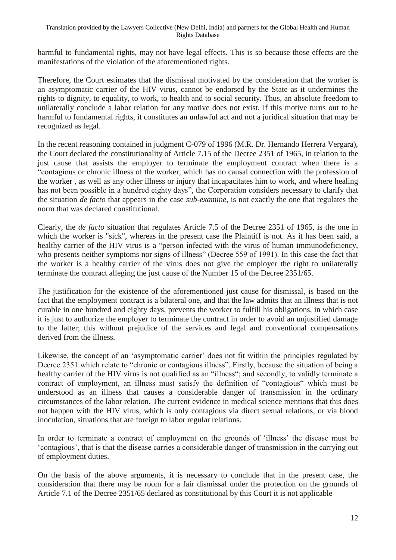harmful to fundamental rights, may not have legal effects. This is so because those effects are the manifestations of the violation of the aforementioned rights.

Therefore, the Court estimates that the dismissal motivated by the consideration that the worker is an asymptomatic carrier of the HIV virus, cannot be endorsed by the State as it undermines the rights to dignity, to equality, to work, to health and to social security. Thus, an absolute freedom to unilaterally conclude a labor relation for any motive does not exist. If this motive turns out to be harmful to fundamental rights, it constitutes an unlawful act and not a juridical situation that may be recognized as legal.

In the recent reasoning contained in judgment C-079 of 1996 (M.R. Dr. Hernando Herrera Vergara), the Court declared the constitutionality of Article 7.15 of the Decree 2351 of 1965, in relation to the just cause that assists the employer to terminate the employment contract when there is a "contagious or chronic illness of the worker, which has no causal connection with the profession of the worker , as well as any other illness or injury that incapacitates him to work, and where healing has not been possible in a hundred eighty days", the Corporation considers necessary to clarify that the situation *de facto* that appears in the case *sub-examine*, is not exactly the one that regulates the norm that was declared constitutional.

Clearly, the *de facto* situation that regulates Article 7.5 of the Decree 2351 of 1965, is the one in which the worker is "sick", whereas in the present case the Plaintiff is not. As it has been said, a healthy carrier of the HIV virus is a "person infected with the virus of human immunodeficiency, who presents neither symptoms nor signs of illness" (Decree 559 of 1991). In this case the fact that the worker is a healthy carrier of the virus does not give the employer the right to unilaterally terminate the contract alleging the just cause of the Number 15 of the Decree 2351/65.

The justification for the existence of the aforementioned just cause for dismissal, is based on the fact that the employment contract is a bilateral one, and that the law admits that an illness that is not curable in one hundred and eighty days, prevents the worker to fulfill his obligations, in which case it is just to authorize the employer to terminate the contract in order to avoid an unjustified damage to the latter; this without prejudice of the services and legal and conventional compensations derived from the illness.

Likewise, the concept of an 'asymptomatic carrier' does not fit within the principles regulated by Decree 2351 which relate to "chronic or contagious illness". Firstly, because the situation of being a healthy carrier of the HIV virus is not qualified as an "illness"; and secondly, to validly terminate a contract of employment, an illness must satisfy the definition of "contagious" which must be understood as an illness that causes a considerable danger of transmission in the ordinary circumstances of the labor relation. The current evidence in medical science mentions that this does not happen with the HIV virus, which is only contagious via direct sexual relations, or via blood inoculation, situations that are foreign to labor regular relations.

In order to terminate a contract of employment on the grounds of 'illness' the disease must be 'contagious', that is that the disease carries a considerable danger of transmission in the carrying out of employment duties.

On the basis of the above arguments, it is necessary to conclude that in the present case, the consideration that there may be room for a fair dismissal under the protection on the grounds of Article 7.1 of the Decree 2351/65 declared as constitutional by this Court it is not applicable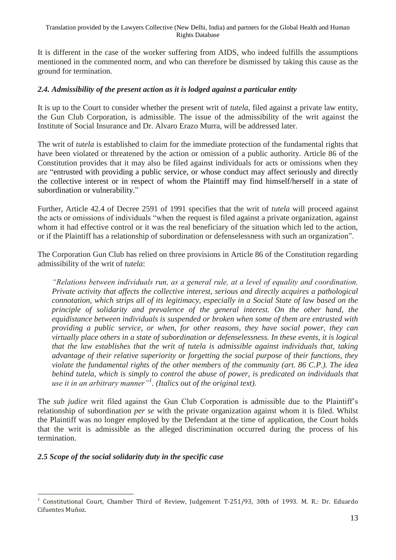It is different in the case of the worker suffering from AIDS, who indeed fulfills the assumptions mentioned in the commented norm, and who can therefore be dismissed by taking this cause as the ground for termination.

#### *2.4. Admissibility of the present action as it is lodged against a particular entity*

It is up to the Court to consider whether the present writ of *tutela*, filed against a private law entity, the Gun Club Corporation, is admissible. The issue of the admissibility of the writ against the Institute of Social Insurance and Dr. Alvaro Erazo Murra, will be addressed later.

The writ of *tutela* is established to claim for the immediate protection of the fundamental rights that have been violated or threatened by the action or omission of a public authority. Article 86 of the Constitution provides that it may also be filed against individuals for acts or omissions when they are "entrusted with providing a public service, or whose conduct may affect seriously and directly the collective interest or in respect of whom the Plaintiff may find himself/herself in a state of subordination or vulnerability."

Further, Article 42.4 of Decree 2591 of 1991 specifies that the writ of *tutela* will proceed against the acts or omissions of individuals "when the request is filed against a private organization, against whom it had effective control or it was the real beneficiary of the situation which led to the action, or if the Plaintiff has a relationship of subordination or defenselessness with such an organization".

The Corporation Gun Club has relied on three provisions in Article 86 of the Constitution regarding admissibility of the writ of *tutela*:

*"Relations between individuals run, as a general rule, at a level of equality and coordination. Private activity that affects the collective interest, serious and directly acquires a pathological connotation, which strips all of its legitimacy, especially in a Social State of law based on the principle of solidarity and prevalence of the general interest. On the other hand, the equidistance between individuals is suspended or broken when some of them are entrusted with providing a public service, or when, for other reasons, they have social power, they can virtually place others in a state of subordination or defenselessness. In these events, it is logical that the law establishes that the writ of tutela is admissible against individuals that, taking advantage of their relative superiority or forgetting the social purpose of their functions, they violate the fundamental rights of the other members of the community (art. 86 C.P.). The idea behind tutela, which is simply to control the abuse of power, is predicated on individuals that use it in an arbitrary manner"<sup>1</sup> . (Italics out of the original text).*

The *sub judice* writ filed against the Gun Club Corporation is admissible due to the Plaintiff's relationship of subordination *per se* with the private organization against whom it is filed. Whilst the Plaintiff was no longer employed by the Defendant at the time of application, the Court holds that the writ is admissible as the alleged discrimination occurred during the process of his termination.

#### *2.5 Scope of the social solidarity duty in the specific case*

<sup>1</sup> 1 Constitutional Court, Chamber Third of Review, Judgement T-251/93, 30th of 1993. M. R.: Dr. Eduardo Cifuentes Muñoz.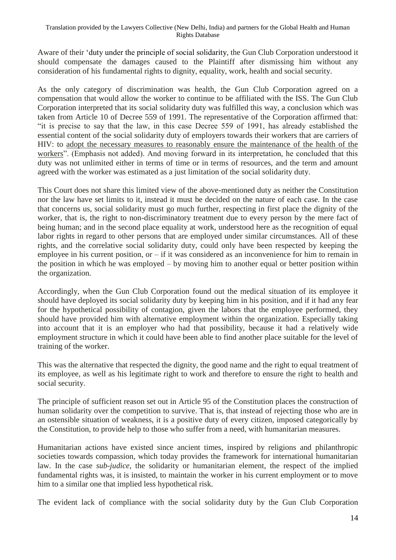Aware of their 'duty under the principle of social solidarity, the Gun Club Corporation understood it should compensate the damages caused to the Plaintiff after dismissing him without any consideration of his fundamental rights to dignity, equality, work, health and social security.

As the only category of discrimination was health, the Gun Club Corporation agreed on a compensation that would allow the worker to continue to be affiliated with the ISS. The Gun Club Corporation interpreted that its social solidarity duty was fulfilled this way, a conclusion which was taken from Article 10 of Decree 559 of 1991. The representative of the Corporation affirmed that: "it is precise to say that the law, in this case Decree 559 of 1991, has already established the essential content of the social solidarity duty of employers towards their workers that are carriers of HIV: to adopt the necessary measures to reasonably ensure the maintenance of the health of the workers". (Emphasis not added). And moving forward in its interpretation, he concluded that this duty was not unlimited either in terms of time or in terms of resources, and the term and amount agreed with the worker was estimated as a just limitation of the social solidarity duty.

This Court does not share this limited view of the above-mentioned duty as neither the Constitution nor the law have set limits to it, instead it must be decided on the nature of each case. In the case that concerns us, social solidarity must go much further, respecting in first place the dignity of the worker, that is, the right to non-discriminatory treatment due to every person by the mere fact of being human; and in the second place equality at work, understood here as the recognition of equal labor rights in regard to other persons that are employed under similar circumstances. All of these rights, and the correlative social solidarity duty, could only have been respected by keeping the employee in his current position, or  $-$  if it was considered as an inconvenience for him to remain in the position in which he was employed – by moving him to another equal or better position within the organization.

Accordingly, when the Gun Club Corporation found out the medical situation of its employee it should have deployed its social solidarity duty by keeping him in his position, and if it had any fear for the hypothetical possibility of contagion, given the labors that the employee performed, they should have provided him with alternative employment within the organization. Especially taking into account that it is an employer who had that possibility, because it had a relatively wide employment structure in which it could have been able to find another place suitable for the level of training of the worker.

This was the alternative that respected the dignity, the good name and the right to equal treatment of its employee, as well as his legitimate right to work and therefore to ensure the right to health and social security.

The principle of sufficient reason set out in Article 95 of the Constitution places the construction of human solidarity over the competition to survive. That is, that instead of rejecting those who are in an ostensible situation of weakness, it is a positive duty of every citizen, imposed categorically by the Constitution, to provide help to those who suffer from a need, with humanitarian measures.

Humanitarian actions have existed since ancient times, inspired by religions and philanthropic societies towards compassion, which today provides the framework for international humanitarian law. In the case *sub-judice*, the solidarity or humanitarian element, the respect of the implied fundamental rights was, it is insisted, to maintain the worker in his current employment or to move him to a similar one that implied less hypothetical risk.

The evident lack of compliance with the social solidarity duty by the Gun Club Corporation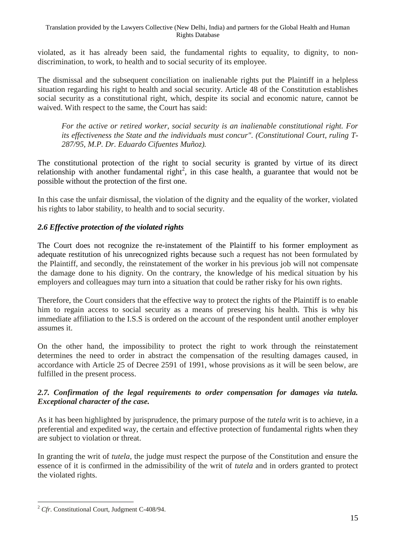violated, as it has already been said, the fundamental rights to equality, to dignity, to nondiscrimination, to work, to health and to social security of its employee.

The dismissal and the subsequent conciliation on inalienable rights put the Plaintiff in a helpless situation regarding his right to health and social security. Article 48 of the Constitution establishes social security as a constitutional right, which, despite its social and economic nature, cannot be waived. With respect to the same, the Court has said:

*For the active or retired worker, social security is an inalienable constitutional right. For its effectiveness the State and the individuals must concur". (Constitutional Court, ruling T-287/95, M.P. Dr. Eduardo Cifuentes Muñoz).*

The constitutional protection of the right to social security is granted by virtue of its direct relationship with another fundamental right<sup>2</sup>, in this case health, a guarantee that would not be possible without the protection of the first one.

In this case the unfair dismissal, the violation of the dignity and the equality of the worker, violated his rights to labor stability, to health and to social security.

### *2.6 Effective protection of the violated rights*

The Court does not recognize the re-instatement of the Plaintiff to his former employment as adequate restitution of his unrecognized rights because such a request has not been formulated by the Plaintiff, and secondly, the reinstatement of the worker in his previous job will not compensate the damage done to his dignity. On the contrary, the knowledge of his medical situation by his employers and colleagues may turn into a situation that could be rather risky for his own rights.

Therefore, the Court considers that the effective way to protect the rights of the Plaintiff is to enable him to regain access to social security as a means of preserving his health. This is why his immediate affiliation to the I.S.S is ordered on the account of the respondent until another employer assumes it.

On the other hand, the impossibility to protect the right to work through the reinstatement determines the need to order in abstract the compensation of the resulting damages caused, in accordance with Article 25 of Decree 2591 of 1991, whose provisions as it will be seen below, are fulfilled in the present process.

### *2.7. Confirmation of the legal requirements to order compensation for damages via tutela. Exceptional character of the case.*

As it has been highlighted by jurisprudence, the primary purpose of the *tutela* writ is to achieve, in a preferential and expedited way, the certain and effective protection of fundamental rights when they are subject to violation or threat.

In granting the writ of *tutela*, the judge must respect the purpose of the Constitution and ensure the essence of it is confirmed in the admissibility of the writ of *tutela* and in orders granted to protect the violated rights.

<sup>1</sup> <sup>2</sup> *Cfr*. Constitutional Court, Judgment C-408/94.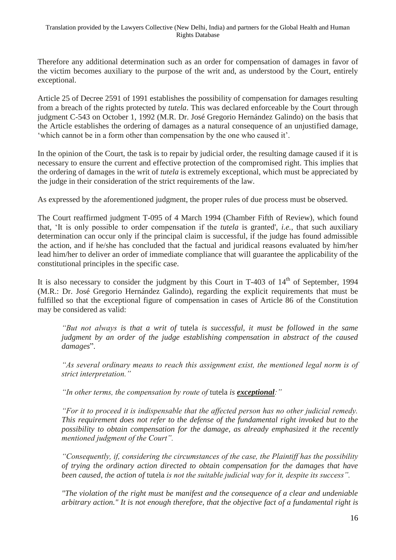Therefore any additional determination such as an order for compensation of damages in favor of the victim becomes auxiliary to the purpose of the writ and, as understood by the Court, entirely exceptional.

Article 25 of Decree 2591 of 1991 establishes the possibility of compensation for damages resulting from a breach of the rights protected by *tutela*. This was declared enforceable by the Court through judgment C-543 on October 1, 1992 (M.R. Dr. José Gregorio Hernández Galindo) on the basis that the Article establishes the ordering of damages as a natural consequence of an unjustified damage, 'which cannot be in a form other than compensation by the one who caused it'.

In the opinion of the Court, the task is to repair by judicial order, the resulting damage caused if it is necessary to ensure the current and effective protection of the compromised right. This implies that the ordering of damages in the writ of *tutela* is extremely exceptional, which must be appreciated by the judge in their consideration of the strict requirements of the law.

As expressed by the aforementioned judgment, the proper rules of due process must be observed.

The Court reaffirmed judgment T-095 of 4 March 1994 (Chamber Fifth of Review), which found that, 'It is only possible to order compensation if the *tutela* is granted', *i.e.,* that such auxiliary determination can occur only if the principal claim is successful, if the judge has found admissible the action, and if he/she has concluded that the factual and juridical reasons evaluated by him/her lead him/her to deliver an order of immediate compliance that will guarantee the applicability of the constitutional principles in the specific case.

It is also necessary to consider the judgment by this Court in  $T-403$  of  $14<sup>th</sup>$  of September, 1994 (M.R.: Dr. José Gregorio Hernández Galindo), regarding the explicit requirements that must be fulfilled so that the exceptional figure of compensation in cases of Article 86 of the Constitution may be considered as valid:

*"But not always is that a writ of* tutela *is successful, it must be followed in the same judgment by an order of the judge establishing compensation in abstract of the caused damages*".

*"As several ordinary means to reach this assignment exist, the mentioned legal norm is of strict interpretation."*

*"In other terms, the compensation by route of* tutela *is exceptional:"*

*"For it to proceed it is indispensable that the affected person has no other judicial remedy. This requirement does not refer to the defense of the fundamental right invoked but to the possibility to obtain compensation for the damage, as already emphasized it the recently mentioned judgment of the Court".*

*"Consequently, if, considering the circumstances of the case, the Plaintiff has the possibility of trying the ordinary action directed to obtain compensation for the damages that have been caused, the action of* tutela *is not the suitable judicial way for it, despite its success".*

*"The violation of the right must be manifest and the consequence of a clear and undeniable arbitrary action." It is not enough therefore, that the objective fact of a fundamental right is*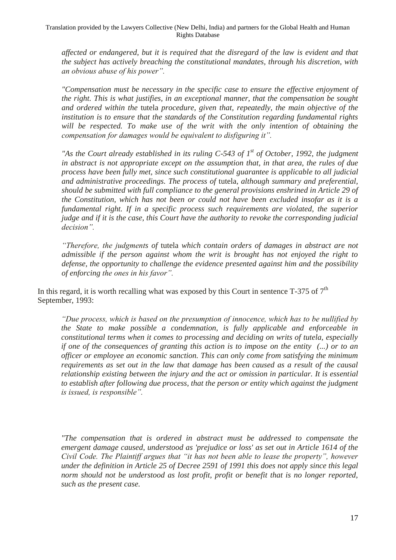*affected or endangered, but it is required that the disregard of the law is evident and that the subject has actively breaching the constitutional mandates, through his discretion, with an obvious abuse of his power".*

*"Compensation must be necessary in the specific case to ensure the effective enjoyment of the right. This is what justifies, in an exceptional manner, that the compensation be sought and ordered within the* tutela *procedure, given that, repeatedly, the main objective of the institution is to ensure that the standards of the Constitution regarding fundamental rights will be respected. To make use of the writ with the only intention of obtaining the compensation for damages would be equivalent to disfiguring it".*

*"As the Court already established in its ruling C-543 of 1st of October, 1992, the judgment in abstract is not appropriate except on the assumption that, in that area, the rules of due process have been fully met, since such constitutional guarantee is applicable to all judicial and administrative proceedings. The process of* tutela*, although summary and preferential, should be submitted with full compliance to the general provisions enshrined in Article 29 of the Constitution, which has not been or could not have been excluded insofar as it is a fundamental right. If in a specific process such requirements are violated, the superior judge and if it is the case, this Court have the authority to revoke the corresponding judicial decision".*

*"Therefore, the judgments of* tutela *which contain orders of damages in abstract are not admissible if the person against whom the writ is brought has not enjoyed the right to defense, the opportunity to challenge the evidence presented against him and the possibility of enforcing the ones in his favor".*

In this regard, it is worth recalling what was exposed by this Court in sentence  $T-375$  of  $7<sup>th</sup>$ September, 1993:

*"Due process, which is based on the presumption of innocence, which has to be nullified by the State to make possible a condemnation, is fully applicable and enforceable in constitutional terms when it comes to processing and deciding on writs of tutela, especially if one of the consequences of granting this action is to impose on the entity (...) or to an officer or employee an economic sanction. This can only come from satisfying the minimum requirements as set out in the law that damage has been caused as a result of the causal relationship existing between the injury and the act or omission in particular. It is essential to establish after following due process, that the person or entity which against the judgment is issued, is responsible".*

*"The compensation that is ordered in abstract must be addressed to compensate the emergent damage caused, understood as 'prejudice or loss' as set out in Article 1614 of the Civil Code. The Plaintiff argues that "it has not been able to lease the property", however under the definition in Article 25 of Decree 2591 of 1991 this does not apply since this legal norm should not be understood as lost profit, profit or benefit that is no longer reported, such as the present case.*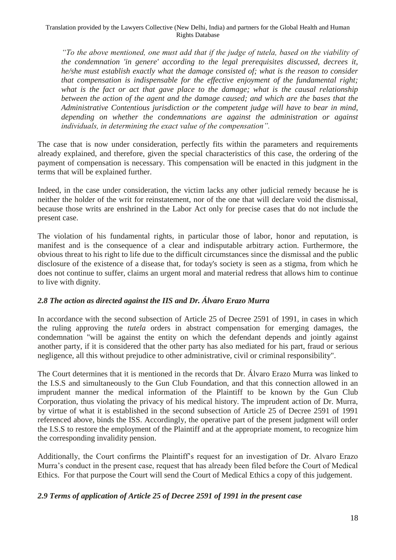*"To the above mentioned, one must add that if the judge of tutela, based on the viability of the condemnation 'in genere' according to the legal prerequisites discussed, decrees it, he/she must establish exactly what the damage consisted of; what is the reason to consider that compensation is indispensable for the effective enjoyment of the fundamental right; what is the fact or act that gave place to the damage; what is the causal relationship between the action of the agent and the damage caused; and which are the bases that the Administrative Contentious jurisdiction or the competent judge will have to bear in mind, depending on whether the condemnations are against the administration or against individuals, in determining the exact value of the compensation".*

The case that is now under consideration, perfectly fits within the parameters and requirements already explained, and therefore, given the special characteristics of this case, the ordering of the payment of compensation is necessary. This compensation will be enacted in this judgment in the terms that will be explained further.

Indeed, in the case under consideration, the victim lacks any other judicial remedy because he is neither the holder of the writ for reinstatement, nor of the one that will declare void the dismissal, because those writs are enshrined in the Labor Act only for precise cases that do not include the present case.

The violation of his fundamental rights, in particular those of labor, honor and reputation, is manifest and is the consequence of a clear and indisputable arbitrary action. Furthermore, the obvious threat to his right to life due to the difficult circumstances since the dismissal and the public disclosure of the existence of a disease that, for today's society is seen as a stigma, from which he does not continue to suffer, claims an urgent moral and material redress that allows him to continue to live with dignity.

## *2.8 The action as directed against the IIS and Dr. Álvaro Erazo Murra*

In accordance with the second subsection of Article 25 of Decree 2591 of 1991, in cases in which the ruling approving the *tutela* orders in abstract compensation for emerging damages, the condemnation "will be against the entity on which the defendant depends and jointly against another party, if it is considered that the other party has also mediated for his part, fraud or serious negligence, all this without prejudice to other administrative, civil or criminal responsibility".

The Court determines that it is mentioned in the records that Dr. Álvaro Erazo Murra was linked to the I.S.S and simultaneously to the Gun Club Foundation, and that this connection allowed in an imprudent manner the medical information of the Plaintiff to be known by the Gun Club Corporation, thus violating the privacy of his medical history. The imprudent action of Dr. Murra, by virtue of what it is established in the second subsection of Article 25 of Decree 2591 of 1991 referenced above, binds the ISS. Accordingly, the operative part of the present judgment will order the I.S.S to restore the employment of the Plaintiff and at the appropriate moment, to recognize him the corresponding invalidity pension.

Additionally, the Court confirms the Plaintiff's request for an investigation of Dr. Alvaro Erazo Murra's conduct in the present case, request that has already been filed before the Court of Medical Ethics. For that purpose the Court will send the Court of Medical Ethics a copy of this judgement.

## *2.9 Terms of application of Article 25 of Decree 2591 of 1991 in the present case*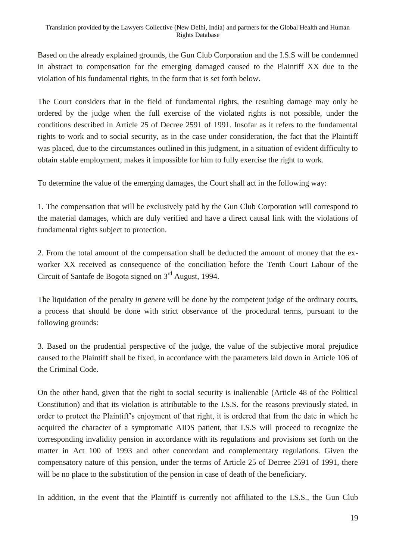Based on the already explained grounds, the Gun Club Corporation and the I.S.S will be condemned in abstract to compensation for the emerging damaged caused to the Plaintiff XX due to the violation of his fundamental rights, in the form that is set forth below.

The Court considers that in the field of fundamental rights, the resulting damage may only be ordered by the judge when the full exercise of the violated rights is not possible, under the conditions described in Article 25 of Decree 2591 of 1991. Insofar as it refers to the fundamental rights to work and to social security, as in the case under consideration, the fact that the Plaintiff was placed, due to the circumstances outlined in this judgment, in a situation of evident difficulty to obtain stable employment, makes it impossible for him to fully exercise the right to work.

To determine the value of the emerging damages, the Court shall act in the following way:

1. The compensation that will be exclusively paid by the Gun Club Corporation will correspond to the material damages, which are duly verified and have a direct causal link with the violations of fundamental rights subject to protection.

2. From the total amount of the compensation shall be deducted the amount of money that the exworker XX received as consequence of the conciliation before the Tenth Court Labour of the Circuit of Santafe de Bogota signed on 3rd August, 1994.

The liquidation of the penalty *in genere* will be done by the competent judge of the ordinary courts, a process that should be done with strict observance of the procedural terms, pursuant to the following grounds:

3. Based on the prudential perspective of the judge, the value of the subjective moral prejudice caused to the Plaintiff shall be fixed, in accordance with the parameters laid down in Article 106 of the Criminal Code.

On the other hand, given that the right to social security is inalienable (Article 48 of the Political Constitution) and that its violation is attributable to the I.S.S. for the reasons previously stated, in order to protect the Plaintiff's enjoyment of that right, it is ordered that from the date in which he acquired the character of a symptomatic AIDS patient, that I.S.S will proceed to recognize the corresponding invalidity pension in accordance with its regulations and provisions set forth on the matter in Act 100 of 1993 and other concordant and complementary regulations. Given the compensatory nature of this pension, under the terms of Article 25 of Decree 2591 of 1991, there will be no place to the substitution of the pension in case of death of the beneficiary.

In addition, in the event that the Plaintiff is currently not affiliated to the I.S.S., the Gun Club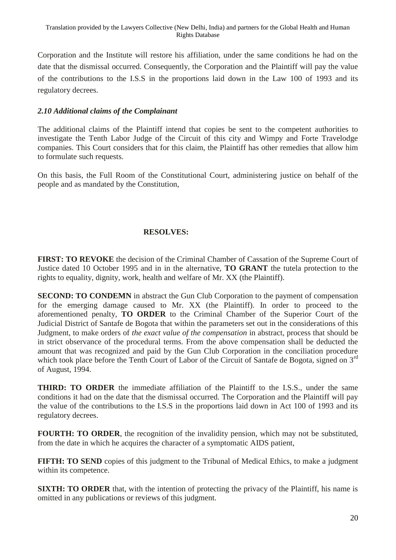Corporation and the Institute will restore his affiliation, under the same conditions he had on the date that the dismissal occurred. Consequently, the Corporation and the Plaintiff will pay the value of the contributions to the I.S.S in the proportions laid down in the Law 100 of 1993 and its regulatory decrees.

## *2.10 Additional claims of the Complainant*

The additional claims of the Plaintiff intend that copies be sent to the competent authorities to investigate the Tenth Labor Judge of the Circuit of this city and Wimpy and Forte Travelodge companies. This Court considers that for this claim, the Plaintiff has other remedies that allow him to formulate such requests.

On this basis, the Full Room of the Constitutional Court, administering justice on behalf of the people and as mandated by the Constitution,

## **RESOLVES:**

**FIRST: TO REVOKE** the decision of the Criminal Chamber of Cassation of the Supreme Court of Justice dated 10 October 1995 and in in the alternative, **TO GRANT** the tutela protection to the rights to equality, dignity, work, health and welfare of Mr. XX (the Plaintiff).

**SECOND: TO CONDEMN** in abstract the Gun Club Corporation to the payment of compensation for the emerging damage caused to Mr. XX (the Plaintiff). In order to proceed to the aforementioned penalty, **TO ORDER** to the Criminal Chamber of the Superior Court of the Judicial District of Santafe de Bogota that within the parameters set out in the considerations of this Judgment, to make orders of *the exact value of the compensation* in abstract, process that should be in strict observance of the procedural terms. From the above compensation shall be deducted the amount that was recognized and paid by the Gun Club Corporation in the conciliation procedure which took place before the Tenth Court of Labor of the Circuit of Santafe de Bogota, signed on 3<sup>rd</sup> of August, 1994.

**THIRD: TO ORDER** the immediate affiliation of the Plaintiff to the I.S.S., under the same conditions it had on the date that the dismissal occurred. The Corporation and the Plaintiff will pay the value of the contributions to the I.S.S in the proportions laid down in Act 100 of 1993 and its regulatory decrees.

**FOURTH: TO ORDER**, the recognition of the invalidity pension, which may not be substituted, from the date in which he acquires the character of a symptomatic AIDS patient,

**FIFTH: TO SEND** copies of this judgment to the Tribunal of Medical Ethics, to make a judgment within its competence.

**SIXTH: TO ORDER** that, with the intention of protecting the privacy of the Plaintiff, his name is omitted in any publications or reviews of this judgment.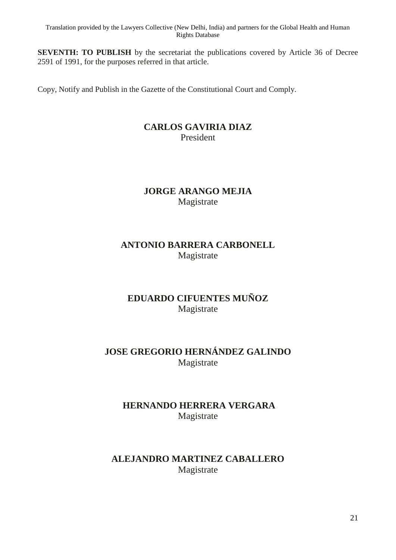**SEVENTH: TO PUBLISH** by the secretariat the publications covered by Article 36 of Decree 2591 of 1991, for the purposes referred in that article.

Copy, Notify and Publish in the Gazette of the Constitutional Court and Comply.

## **CARLOS GAVIRIA DIAZ** President

## **JORGE ARANGO MEJIA** Magistrate

## **ANTONIO BARRERA CARBONELL** Magistrate

## **EDUARDO CIFUENTES MUÑOZ** Magistrate

## **JOSE GREGORIO HERNÁNDEZ GALINDO** Magistrate

## **HERNANDO HERRERA VERGARA** Magistrate

## **ALEJANDRO MARTINEZ CABALLERO** Magistrate